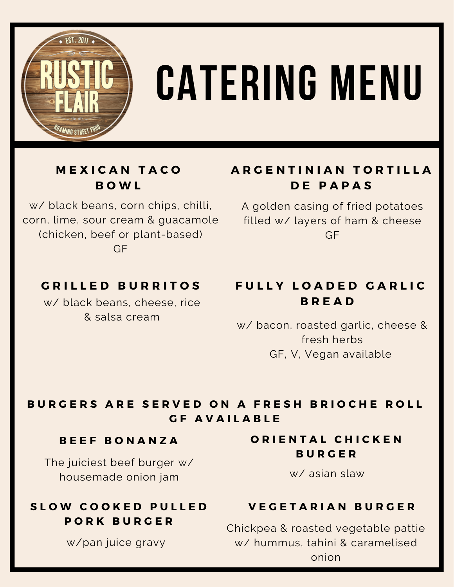

# **catering menu**

# **M E X I C A N T A C O B O W L**

w/ black beans, corn chips, chilli, corn, lime, sour cream & guacamole (chicken, beef or plant-based) GF

# **A R G E N T I N I A N T O R T I L L A D E P A P A S**

A golden casing of fried potatoes filled w/ layers of ham & cheese GF

# **G R I L L E D B U R R I T O S**

w/ black beans, cheese, rice & salsa cream

# **F U L L Y L O A D E D G A R L I C B R E A D**

w/ bacon, roasted garlic, cheese & fresh herbs GF, V, Vegan available

# BURGERS ARE SERVED ON A FRESH BRIOCHE ROLL **G F A V A I L A B L E**

### **B E E F B O N A N Z A**

The juiciest beef burger w/ housemade onion jam

# **S L O W C O O K E D P U L L E D P O R K B U R G E R**

w/pan juice gravy

# **O R I E N T A L C H I C K E N B U R G E R**

w/ asian slaw

# **V E G E T A R I A N B U R G E R**

Chickpea & roasted vegetable pattie w/ hummus, tahini & caramelised onion